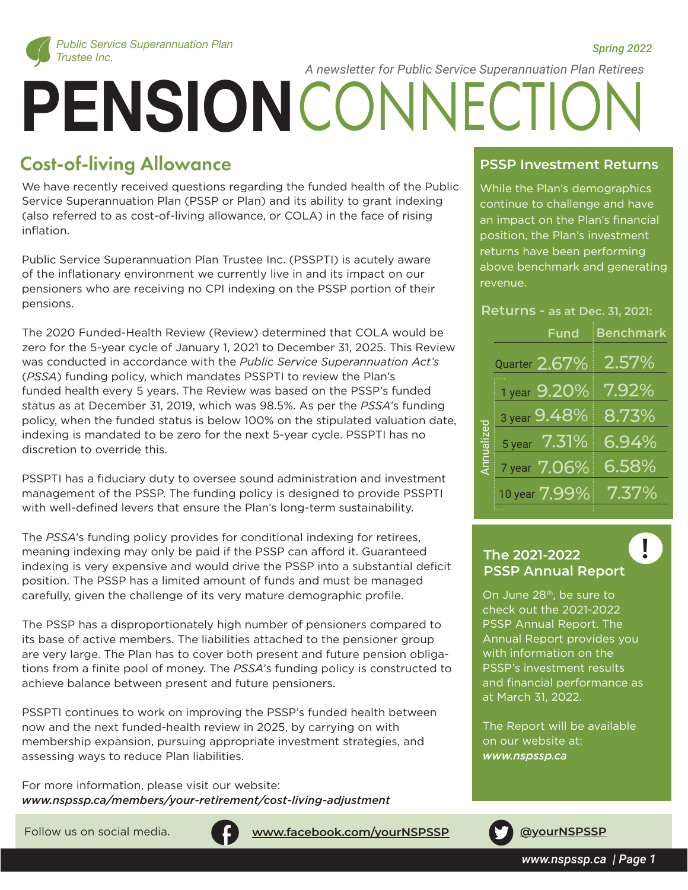

 *Spring 2022*

*A newsletter for Public Service Superannuation Plan Retirees*

# **PENSION** CONNECTION

# Cost-of-living Allowance

We have recently received questions regarding the funded health of the Public Service Superannuation Plan (PSSP or Plan) and its ability to grant indexing (also referred to as cost-of-living allowance, or COLA) in the face of rising inflation.

Public Service Superannuation Plan Trustee Inc. (PSSPTI) is acutely aware of the inflationary environment we currently live in and its impact on our pensioners who are receiving no CPI indexing on the PSSP portion of their pensions.

The 2020 Funded-Health Review (Review) determined that COLA would be zero for the 5-year cycle of January 1, 2021 to December 31, 2025. This Review was conducted in accordance with the *Public Service Superannuation Act's* (*PSSA*) funding policy, which mandates PSSPTI to review the Plan's funded health every 5 years. The Review was based on the PSSP's funded status as at December 31, 2019, which was 98.5%. As per the *PSSA*'s funding policy, when the funded status is below 100% on the stipulated valuation date, indexing is mandated to be zero for the next 5-year cycle. PSSPTI has no discretion to override this.

PSSPTI has a fiduciary duty to oversee sound administration and investment management of the PSSP. The funding policy is designed to provide PSSPTI with well-defined levers that ensure the Plan's long-term sustainability.

The *PSSA*'s funding policy provides for conditional indexing for retirees, meaning indexing may only be paid if the PSSP can afford it. Guaranteed indexing is very expensive and would drive the PSSP into a substantial deficit position. The PSSP has a limited amount of funds and must be managed carefully, given the challenge of its very mature demographic profile.

The PSSP has a disproportionately high number of pensioners compared to its base of active members. The liabilities attached to the pensioner group are very large. The Plan has to cover both present and future pension obligations from a finite pool of money. The *PSSA*'s funding policy is constructed to achieve balance between present and future pensioners.

PSSPTI continues to work on improving the PSSP's funded health between now and the next funded-health review in 2025, by carrying on with membership expansion, pursuing appropriate investment strategies, and assessing ways to reduce Plan liabilities.

For more information, please visit our website: *www.nspssp.ca/members/your-retirement/cost-living-adjustment*



Follow us on social media. **[www.facebook.com/yourNSPSSP](https://www.facebook.com/yourNSPSSP) [@yourNSPSSP](https://twitter.com/yourNSPSSP)** f

#### **PSSP Investment Returns**

While the Plan's demographics continue to challenge and have an impact on the Plan's financial position, the Plan's investment returns have been performing above benchmark and generating revenue.

#### **Returns - as at Dec. 31, 2021:**

|           | <b>Fund</b>   | <b>Benchmark</b> |
|-----------|---------------|------------------|
| Annualize | Quarter 2.67% | 2.57%            |
|           | 1 year 9.20%  | $7.92\%$         |
|           | 3 year 9.48%  | 8.73%            |
|           | 5 year 7.31%  | 6.94%            |
|           | 7 year 7.06%  | 6.58%            |
|           | 10 year 7.99% | $7.37\%$         |
|           |               |                  |

# **The 2021-2022 ! PSSP Annual Report**

On June 28th, be sure to check out the 2021-2022 PSSP Annual Report. The Annual Report provides you with information on the PSSP's investment results and financial performance as at March 31, 2022.

The Report will be available on our website at: *www.nspssp.ca*